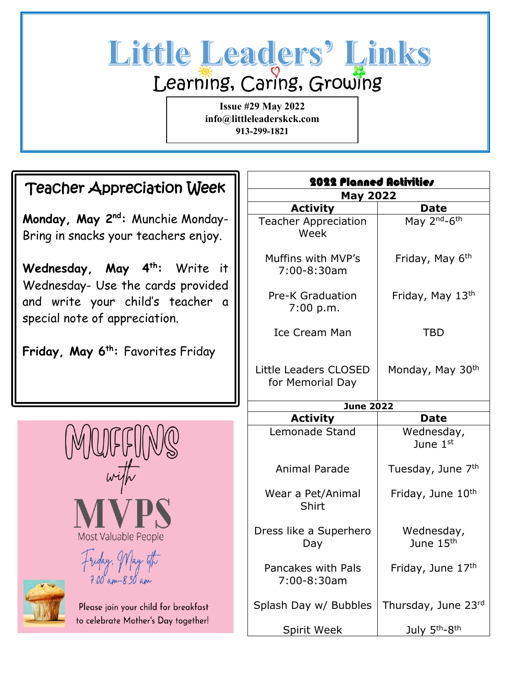# Little Leaders' Links Learning, Caring, Growing

**Issue #29 May 2022 info@littleleaderskck.com 913-299-1821**

## Teacher Appreciation Week

**Monday, May 2nd:** Munchie Monday-Bring in snacks your teachers enjoy.

Wednesday, May 4<sup>th</sup>: Write it Wednesday- Use the cards provided and write your child's teacher a special note of appreciation.

**Friday, May 6th:** Favorites Friday

| 2022 Planned Activities<br><b>May 2022</b> |                                      |
|--------------------------------------------|--------------------------------------|
|                                            |                                      |
| <b>Teacher Appreciation</b><br>Week        | May 2 <sup>nd</sup> -6 <sup>th</sup> |
| Muffins with MVP's<br>7:00-8:30am          | Friday, May 6 <sup>th</sup>          |
| <b>Pre-K Graduation</b><br>7:00 p.m.       | Friday, May 13th                     |
| Ice Cream Man                              | <b>TBD</b>                           |
| Little Leaders CLOSED<br>for Memorial Day  | Monday, May 30 <sup>th</sup>         |
| <b>June 2022</b>                           |                                      |
| <b>Activity</b>                            | <b>Date</b>                          |
| Lemonade Stand                             | Wednesday,<br>June 1st               |
| <b>Animal Parade</b>                       | Tuesday, June 7th                    |
| Wear a Pet/Animal<br>Shirt                 | Friday, June 10 <sup>th</sup>        |
| Dress like a Superhero<br>Day              | Wednesday,<br>June 15 <sup>th</sup>  |
| Pancakes with Pals<br>7:00-8:30am          | Friday, June 17th                    |
| Splash Day w/ Bubbles                      | Thursday, June 23rd                  |
|                                            |                                      |





Please join your child for breakfast to celebrate Mother's Day together!